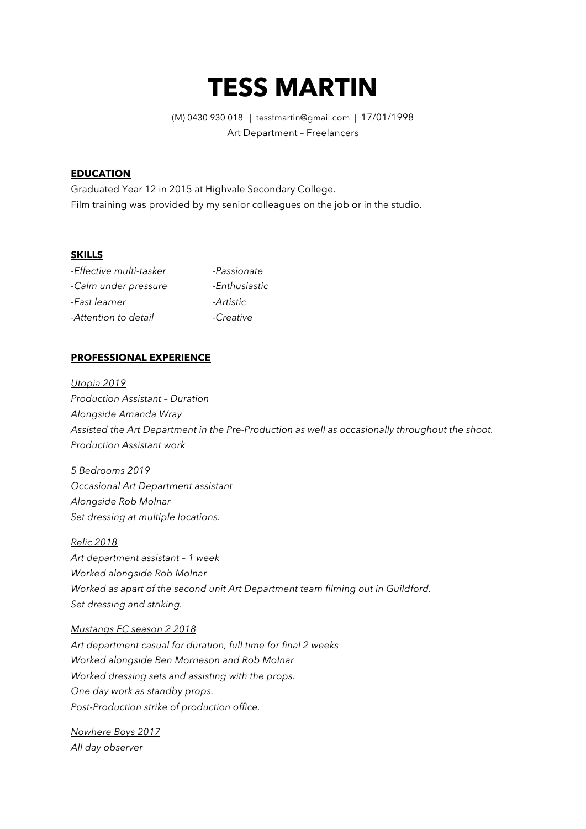# **TESS MARTIN**

(M) 0430 930 018 | tessfmartin@gmail.com | 17/01/1998 Art Department – Freelancers

# **EDUCATION**

Graduated Year 12 in 2015 at Highvale Secondary College. Film training was provided by my senior colleagues on the job or in the studio.

## **SKILLS**

| -Effective multi-tasker | -Passionate   |
|-------------------------|---------------|
| -Calm under pressure    | -Enthusiastic |
| -Fast learner           | -Artistic     |
| -Attention to detail    | -Creative     |

#### **PROFESSIONAL EXPERIENCE**

*Utopia 2019 Production Assistant – Duration Alongside Amanda Wray Assisted the Art Department in the Pre-Production as well as occasionally throughout the shoot. Production Assistant work* 

*5 Bedrooms 2019 Occasional Art Department assistant Alongside Rob Molnar Set dressing at multiple locations.*

*Relic 2018 Art department assistant – 1 week Worked alongside Rob Molnar Worked as apart of the second unit Art Department team filming out in Guildford. Set dressing and striking.* 

*Mustangs FC season 2 2018 Art department casual for duration, full time for final 2 weeks Worked alongside Ben Morrieson and Rob Molnar Worked dressing sets and assisting with the props. One day work as standby props. Post-Production strike of production office.*

*Nowhere Boys 2017 All day observer*